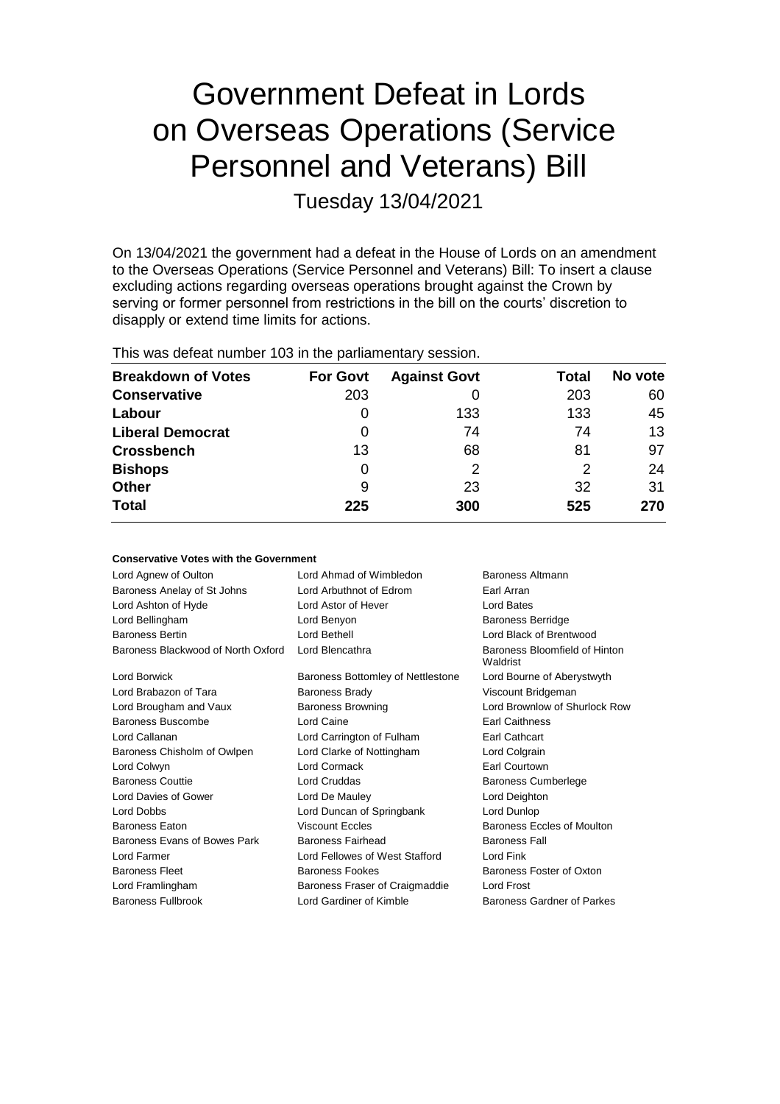# Government Defeat in Lords on Overseas Operations (Service Personnel and Veterans) Bill

Tuesday 13/04/2021

On 13/04/2021 the government had a defeat in the House of Lords on an amendment to the Overseas Operations (Service Personnel and Veterans) Bill: To insert a clause excluding actions regarding overseas operations brought against the Crown by serving or former personnel from restrictions in the bill on the courts' discretion to disapply or extend time limits for actions.

This was defeat number 103 in the parliamentary session.

| <b>Breakdown of Votes</b> | <b>For Govt</b> | <b>Against Govt</b> | Total | No vote |
|---------------------------|-----------------|---------------------|-------|---------|
| <b>Conservative</b>       | 203             |                     | 203   | 60      |
| Labour                    | O               | 133                 | 133   | 45      |
| <b>Liberal Democrat</b>   | 0               | 74                  | 74    | 13      |
| <b>Crossbench</b>         | 13              | 68                  | 81    | 97      |
| <b>Bishops</b>            | 0               | 2                   | 2     | 24      |
| <b>Other</b>              | 9               | 23                  | 32    | 31      |
| <b>Total</b>              | 225             | 300                 | 525   | 270     |

| <b>Conservative Votes with the Government</b> |                                             |                                           |  |  |
|-----------------------------------------------|---------------------------------------------|-------------------------------------------|--|--|
| Lord Agnew of Oulton                          | Lord Ahmad of Wimbledon<br>Baroness Altmann |                                           |  |  |
| Baroness Anelay of St Johns                   | Lord Arbuthnot of Edrom                     | Earl Arran                                |  |  |
| Lord Ashton of Hyde                           | Lord Astor of Hever                         | Lord Bates                                |  |  |
| Lord Bellingham                               | Lord Benyon                                 | <b>Baroness Berridge</b>                  |  |  |
| <b>Baroness Bertin</b>                        | Lord Bethell                                | Lord Black of Brentwood                   |  |  |
| Baroness Blackwood of North Oxford            | Lord Blencathra                             | Baroness Bloomfield of Hinton<br>Waldrist |  |  |
| <b>Lord Borwick</b>                           | Baroness Bottomley of Nettlestone           | Lord Bourne of Aberystwyth                |  |  |
| Lord Brabazon of Tara                         | <b>Baroness Brady</b>                       | Viscount Bridgeman                        |  |  |
| Lord Brougham and Vaux                        | <b>Baroness Browning</b>                    | Lord Brownlow of Shurlock Row             |  |  |
| Baroness Buscombe                             | Lord Caine                                  | <b>Earl Caithness</b>                     |  |  |
| Lord Callanan                                 | Lord Carrington of Fulham                   | Earl Cathcart                             |  |  |
| Baroness Chisholm of Owlpen                   | Lord Clarke of Nottingham                   | Lord Colgrain                             |  |  |
| Lord Colwyn                                   | Lord Cormack                                | Earl Courtown                             |  |  |
| <b>Baroness Couttie</b>                       | Lord Cruddas                                | Baroness Cumberlege                       |  |  |
| Lord Davies of Gower                          | Lord De Mauley                              | Lord Deighton                             |  |  |
| Lord Dobbs                                    | Lord Duncan of Springbank                   | Lord Dunlop                               |  |  |
| <b>Baroness Eaton</b>                         | <b>Viscount Eccles</b>                      | Baroness Eccles of Moulton                |  |  |
| Baroness Evans of Bowes Park                  | Baroness Fairhead                           | <b>Baroness Fall</b>                      |  |  |
| Lord Farmer                                   | Lord Fellowes of West Stafford              | Lord Fink                                 |  |  |
| <b>Baroness Fleet</b>                         | <b>Baroness Fookes</b>                      | Baroness Foster of Oxton                  |  |  |
| Lord Framlingham                              | Baroness Fraser of Craigmaddie              | <b>Lord Frost</b>                         |  |  |
| <b>Baroness Fullbrook</b>                     | Lord Gardiner of Kimble                     | Baroness Gardner of Parkes                |  |  |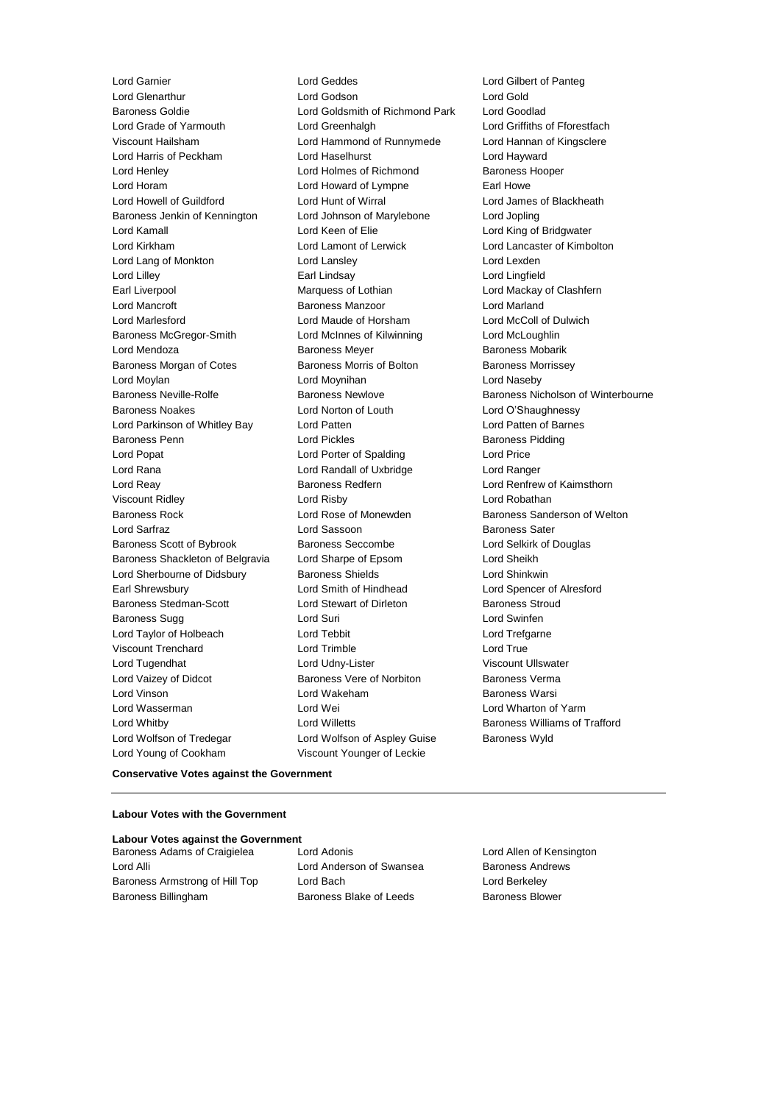Lord Garnier Lord Geddes Lord Gilbert of Panteg Lord Glenarthur **Lord Godson**<br>
Baroness Goldie **Communist Cold Lord Goldsmith of Richmond Park** Lord Goodlad Lord Grade of Yarmouth Lord Greenhalgh Lord Griffiths of Fforestfach Viscount Hailsham Lord Hammond of Runnymede Lord Hannan of Kingsclere Lord Harris of Peckham Lord Haselhurst Lord Hayward Lord Henley Lord Holmes of Richmond Baroness Hooper Lord Horam Lord Howard of Lympne Earl Howe Lord Howell of Guildford **Lord Hunt of Wirral** Lord Hunt of Wirsel Lord James of Blackheath<br>Baroness Jenkin of Kennington Lord Johnson of Marylebone Lord Jopling Baroness Jenkin of Kennington Lord Johnson of Marylebone Lord Jopling Lord Kamall Lord Keen of Elie Lord King of Bridgwater Lord Kirkham Lord Lamont of Lerwick Lord Lancaster of Kimbolton Lord Lang of Monkton Lord Lansley Lord Lexden Lord Lilley Earl Lindsay Lord Lingfield Earl Liverpool Marquess of Lothian Lord Mackay of Clashfern Lord Mancroft Baroness Manzoor Lord Marland Lord Marlesford Lord Maude of Horsham Lord McColl of Dulwich Baroness McGregor-Smith Lord McInnes of Kilwinning Lord McLoughlin Lord Mendoza **Baroness Meyer** Baroness Meyer Baroness Mobarik Baroness Morgan of Cotes Baroness Morris of Bolton Baroness Morrissey Lord Moylan Lord Moynihan Lord Naseby Baroness Neville-Rolfe **Baroness Newlove** Baroness Newlove **Baroness Nicholson of Winterbourne** Baroness Noakes Lord Norton of Louth Lord O'Shaughnessy Lord Parkinson of Whitley Bay Lord Patten Lord Patten of Barnes Baroness Penn **Example 2** Lord Pickles **Baroness Pidding** Lord Popat Lord Porter of Spalding Lord Price Lord Rana Lord Randall of Uxbridge Lord Ranger Lord Reay Baroness Redfern Lord Renfrew of Kaimsthorn Viscount Ridley Lord Risby Lord Robathan Baroness Rock **No. 2018** Lord Rose of Monewden **Baroness Sanderson of Welton** Lord Sarfraz Lord Sassoon Baroness Sater Baroness Scott of Bybrook Baroness Seccombe Lord Selkirk of Douglas Baroness Shackleton of Belgravia Lord Sharpe of Epsom Lord Sheikh Lord Sherbourne of Didsbury **Baroness Shields** Lord Shinkwin Earl Shrewsbury Lord Smith of Hindhead Lord Spencer of Alresford Baroness Stedman-Scott Lord Stewart of Dirleton Baroness Stroud Baroness Sugg 
and Baroness Sugg 
and Cord Swinfen 
Baroness Sugg 
and Cord Swinfen 
Lord Swinfen 
and Cord Swinfen 
and Cord Swinfen 
and Cord Swinfen 
and Cord Swinfen 
and Cord Swinfen 
and Cord Swinfen 
and Cord Swinfe Lord Taylor of Holbeach Lord Tebbit Lord Trefgarne Viscount Trenchard Lord Trimble Lord True Lord Tugendhat Lord Udny-Lister Viscount Ullswater Lord Vaizey of Didcot **Baroness Vere of Norbiton** Baroness Verma Lord Vinson Lord Wakeham Baroness Warsi Lord Wasserman Lord Wei Lord Wharton of Yarm Lord Whitby **Lord Willetts Baroness Williams of Trafford Lord Willetts Baroness Williams of Trafford** Lord Wolfson of Tredegar **Lord Wolfson of Aspley Guise** Baroness Wyld Lord Young of Cookham Viscount Younger of Leckie

Lord Goldsmith of Richmond Park

## **Conservative Votes against the Government**

## **Labour Votes with the Government**

## **Labour Votes against the Government**

Baroness Adams of Craigielea Lord Adonis Lord Allen of Kensington Lord Alli **Lord Anderson of Swansea** Baroness Andrews Baroness Armstrong of Hill Top Lord Bach Lord Berkeley Baroness Billingham **Baroness Blake of Leeds** Baroness Blower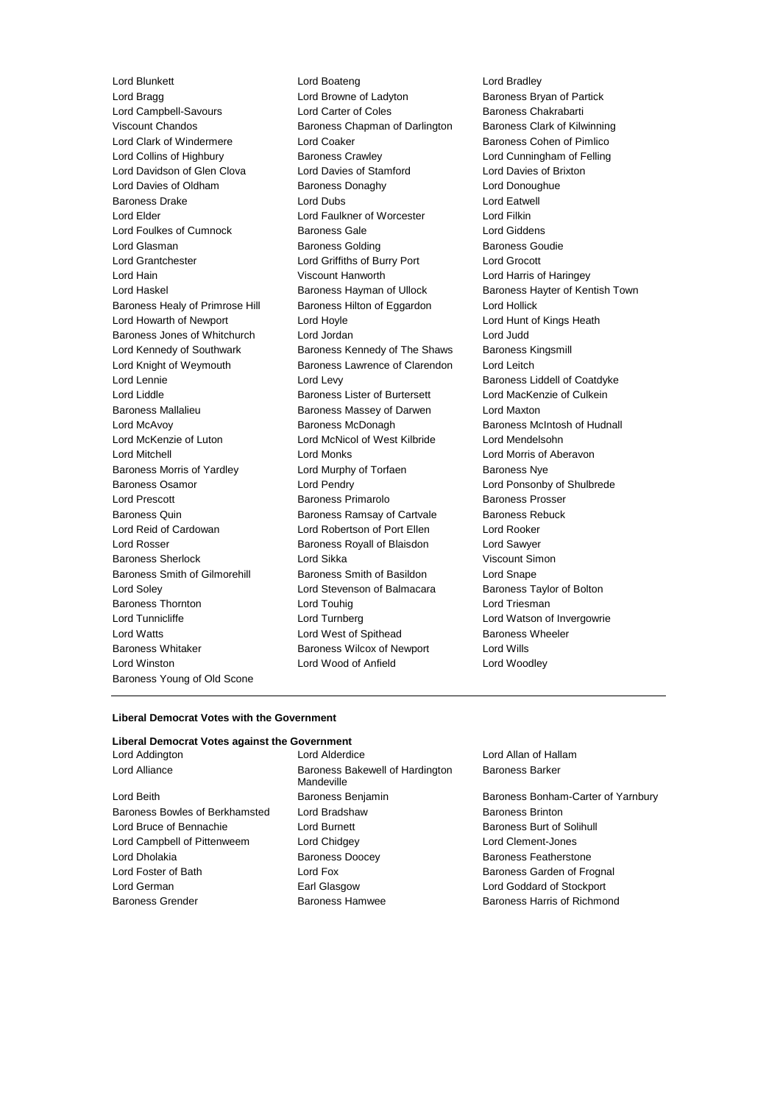Lord Bragg **Lord Browne of Ladyton** Baroness Bryan of Partick Lord Campbell-Savours 
Lord Carter of Coles
Baroness Chakrabarti Viscount Chandos Baroness Chapman of Darlington Baroness Clark of Kilwinning Lord Clark of Windermere **Lord Coaker Lord Coaker** Baroness Cohen of Pimlico Lord Collins of Highbury Baroness Crawley Lord Cunningham of Felling Lord Davidson of Glen Clova Lord Davies of Stamford Lord Davies of Brixton Lord Davies of Oldham Baroness Donaghy Baroness Donaghy Lord Donoughue Baroness Drake **Lord Dubs** Lord Dubs **Lord Eatwell** Lord Elder Lord Faulkner of Worcester Lord Filkin Lord Foulkes of Cumnock Baroness Gale Corresponding Lord Giddens Lord Glasman **Baroness Golding** Baroness Goudie Lord Grantchester Lord Griffiths of Burry Port Lord Grocott Lord Hain Viscount Hanworth Lord Harris of Haringey Lord Haskel **Baroness Hayman of Ullock** Baroness Hayter of Kentish Town Baroness Healy of Primrose Hill Baroness Hilton of Eggardon Lord Hollick Lord Howarth of Newport Lord Hoyle Lord Hunt of Kings Heath Baroness Jones of Whitchurch Lord Jordan Lord Judd Lord Kennedy of Southwark **Baroness Kennedy of The Shaws** Baroness Kingsmill Lord Knight of Weymouth Baroness Lawrence of Clarendon Lord Leitch Lord Lennie **Lord Levy** Lord Levy **Baroness Liddell of Coatdyke** Lord Liddle Baroness Lister of Burtersett Lord MacKenzie of Culkein Baroness Mallalieu Baroness Massey of Darwen Lord Maxton Lord McAvoy Baroness McDonagh Baroness McIntosh of Hudnall Lord McKenzie of Luton Lord McNicol of West Kilbride Lord Mendelsohn Lord Mitchell Lord Monks Lord Morris of Aberavon Baroness Morris of Yardley **Lord Murphy of Torfaen** Baroness Nye Baroness Osamor Lord Pendry Lord Ponsonby of Shulbrede Lord Prescott Baroness Primarolo Baroness Prosser Baroness Quin **Baroness Ramsay of Cartvale** Baroness Rebuck Lord Reid of Cardowan Lord Robertson of Port Ellen Lord Rooker Lord Rosser **Baroness Royall of Blaisdon** Lord Sawyer Baroness Sherlock Lord Sikka Viscount Simon Baroness Smith of Gilmorehill Baroness Smith of Basildon Lord Snape Lord Soley Lord Stevenson of Balmacara Baroness Taylor of Bolton Baroness Thornton **Lord Touhig** Lord Touhig Lord Triesman Lord Tunnicliffe Lord Turnberg Lord Watson of Invergowrie Lord Watts **Lord West of Spithead** Baroness Wheeler Baroness Whitaker **Baroness Wilcox of Newport** Lord Wills Lord Winston Lord Wood of Anfield Lord Woodley Baroness Young of Old Scone

Lord Blunkett Lord Boateng Lord Bradley

### **Liberal Democrat Votes with the Government**

## **Liberal Democrat Votes against the Government**

Lord Beith **Baroness Benjamin** Baroness Bandam-Carter of Yarnbury Baroness Bowles of Berkhamsted Lord Bradshaw Baroness Brinton Lord Bruce of Bennachie Lord Burnett Baroness Burt of Solihull Lord Campbell of Pittenweem Lord Chidgey Lord Clement-Jones Lord Dholakia Baroness Doocey Baroness Featherstone Lord Foster of Bath **Lord Fox** Lord Fox **Baroness Garden of Frognal** Lord German Earl Glasgow Lord Goddard of Stockport Baroness Grender Baroness Hamwee Baroness Harris of Richmond

Lord Addington Lord Alderdice Lord Allan of Hallam Lord Alliance **Baroness Bakewell of Hardington** Mandeville

Baroness Barker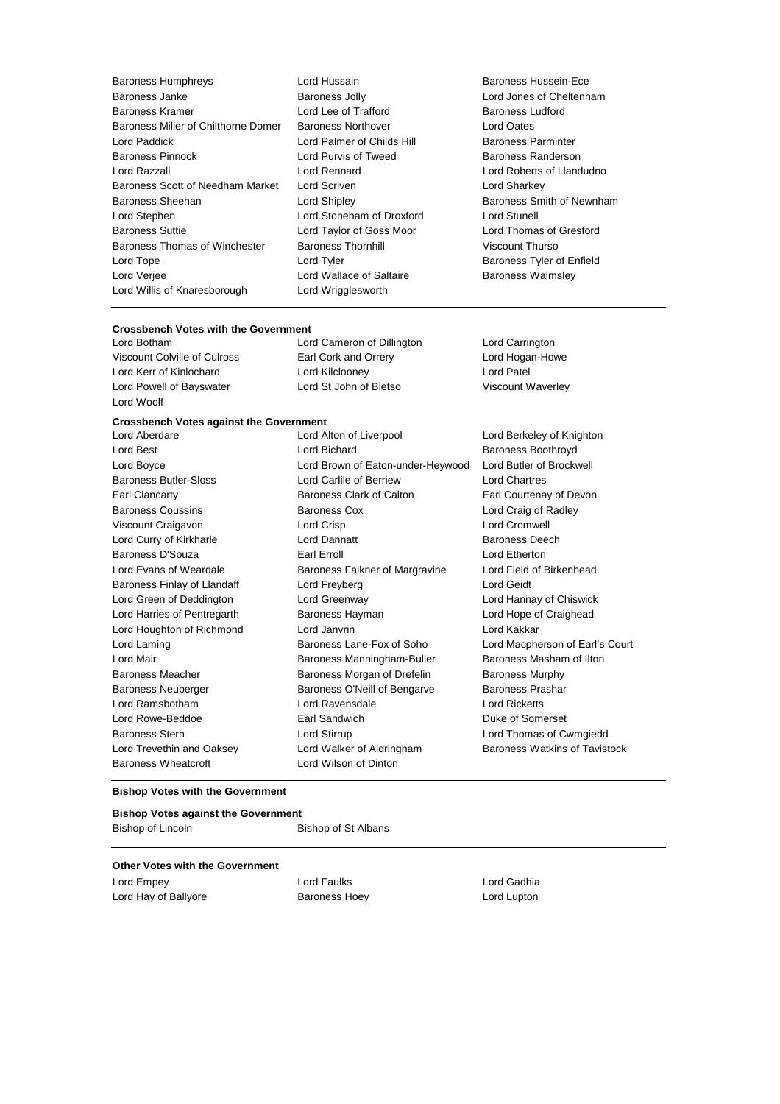- Baroness Humphreys Lord Hussain Baroness Hussein-Ece Baroness Janke **Baroness Jolly** Baroness Jolly **Lord Jones of Cheltenham**<br>Baroness Kramer **Barones I Lord Jee of Trafford** Baroness Ludford Baroness Kramer **Lord Lee of Trafford** Baroness Miller of Chilthorne Domer Baroness Northover Lord Oates Lord Paddick **Lord Palmer of Childs Hill Baroness Parminter** Baroness Pinnock **Exercise Search Conditions** Lord Purvis of Tweed Baroness Randerson Lord Razzall Lord Rennard Lord Roberts of Llandudno Baroness Scott of Needham Market Lord Scriven Lord Sharkey Lord Sharkey Baroness Sheehan **Baroness** Sheehan Lord Shipley **Baroness Smith of Newnham** Lord Stephen Lord Stoneham of Droxford Lord Stunell Baroness Suttie Lord Taylor of Goss Moor Lord Thomas of Gresford Baroness Thomas of Winchester Baroness Thornhill Viscount Thurso Lord Tope **Lord Tyler Lord Tyler Baroness Tyler of Enfield** Lord Verjee Lord Wallace of Saltaire Baroness Walmsley Lord Willis of Knaresborough Lord Wrigglesworth
	-
- 

## **Crossbench Votes with the Government**

Lord Botham Lord Cameron of Dillington Lord Carrington Viscount Colville of Culross Earl Cork and Orrery Lord Hogan-Howe Lord Kerr of Kinlochard Lord Kilclooney Lord Patel Lord Powell of Bayswater Lord St John of Bletso Viscount Waverley Lord Woolf

## **Crossbench Votes against the Government**

Baroness Wheatcroft **Lord Wilson of Dinton** 

Lord Best **Lord Bichard Baroness Boothroyd Baroness Boothroyd** Lord Boyce Lord Brown of Eaton-under-Heywood Lord Butler of Brockwell Baroness Butler-Sloss Lord Carlile of Berriew Lord Chartres Earl Clancarty **Baroness Clark of Calton** Earl Courtenay of Devon Baroness Coussins **Baroness Cox Constant Constant Lord Craig of Radley** Viscount Craigavon Lord Crisp Lord Cromwell Lord Curry of Kirkharle **Lord Dannatt Lord Dannatt** Baroness Deech Baroness D'Souza Earl Erroll Lord Etherton Lord Evans of Weardale **Baroness Falkner of Margravine** Lord Field of Birkenhead Baroness Finlay of Llandaff **Lord Freyberg** Lord Geidt Lord Geidt Lord Green of Deddington Lord Greenway Lord Hannay of Chiswick Lord Harries of Pentregarth Baroness Hayman Lord Hope of Craighead Lord Houghton of Richmond Lord Janvrin Lord Kakkar Lord Laming **Baroness Lane-Fox of Soho** Lord Macpherson of Earl's Court Lord Mair **Baroness Manningham-Buller** Baroness Masham of Ilton Baroness Meacher **Baroness Morgan of Drefelin** Baroness Murphy Baroness Neuberger **Baroness O'Neill of Bengarve** Baroness Prashar Lord Ramsbotham Lord Ravensdale Lord Ricketts Lord Rowe-Beddoe Earl Sandwich Duke of Somerset Baroness Stern Lord Stirrup Lord Thomas of Cwmgiedd Lord Trevethin and Oaksey Lord Walker of Aldringham Baroness Watkins of Tavistock

Lord Berkeley of Knighton

#### **Bishop Votes with the Government**

### **Bishop Votes against the Government** Bishop of Lincoln Bishop of St Albans

## **Other Votes with the Government**

Lord Empey **Lord Faulks** Lord Faulks **Lord Cadhia** Lord Hay of Ballyore **Baroness Hoey Lord Lupton**